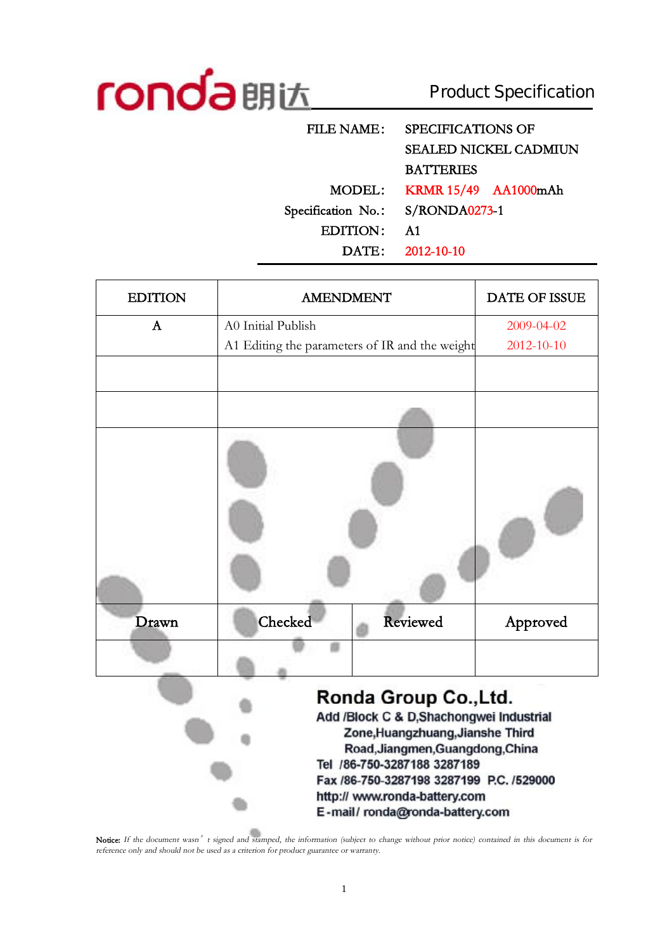

Product Specification

| <b>FILE NAME:</b>  | SPECIFICATIONS OF            |
|--------------------|------------------------------|
|                    | <b>SEALED NICKEL CADMIUN</b> |
|                    | <b>BATTERIES</b>             |
| MODEL:             | <b>KRMR 15/49 AA1000mAh</b>  |
| Specification No.: | S/RONDA0273-1                |
| EDITION:           | <b>A1</b>                    |
|                    | DATE: 2012-10-10             |
|                    |                              |

| <b>EDITION</b> | <b>AMENDMENT</b>                               |                                                                                                                                                                                                                                                                                        | <b>DATE OF ISSUE</b> |
|----------------|------------------------------------------------|----------------------------------------------------------------------------------------------------------------------------------------------------------------------------------------------------------------------------------------------------------------------------------------|----------------------|
| $\mathbf{A}$   | A0 Initial Publish                             |                                                                                                                                                                                                                                                                                        | 2009-04-02           |
|                | A1 Editing the parameters of IR and the weight |                                                                                                                                                                                                                                                                                        | 2012-10-10           |
|                |                                                |                                                                                                                                                                                                                                                                                        |                      |
|                |                                                |                                                                                                                                                                                                                                                                                        |                      |
|                |                                                |                                                                                                                                                                                                                                                                                        |                      |
| Drawn          | Checked                                        | Reviewed                                                                                                                                                                                                                                                                               | Approved             |
|                |                                                |                                                                                                                                                                                                                                                                                        |                      |
|                |                                                | Ronda Group Co., Ltd.<br>Add /Block C & D,Shachongwei Industrial<br>Zone, Huangzhuang, Jianshe Third<br>Road, Jiangmen, Guangdong, China<br>Tel /86-750-3287188 3287189<br>Fax /86-750-3287198 3287199 P.C. /529000<br>http:// www.ronda-battery.com<br>E-mail/ronda@ronda-battery.com |                      |

Notice: If the document wasn't signed and stamped, the information (subject to change without prior notice) contained in this document is for *reference only and should not be used as <sup>a</sup> criterion for product guarantee or warranty.*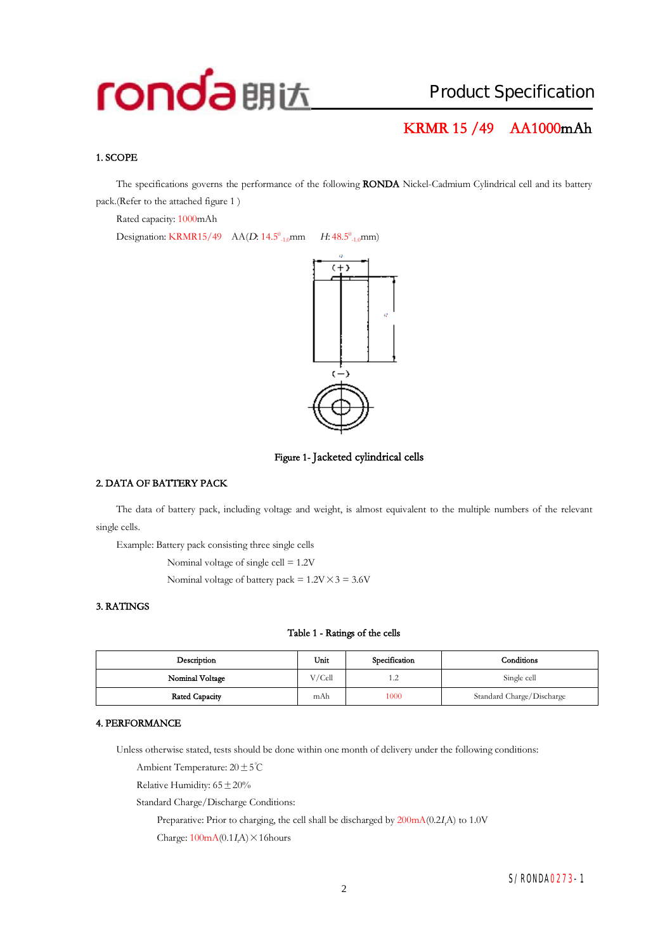## **KRMR 15 /49 AA1000mAh**

#### **1. SCOPE**

The specifications governs the performance of the following **RONDA** Nickel-Cadmium Cylindrical cell and its battery pack.(Refer to the attached figure 1 )

Rated capacity: 1000mAh

Designation: KRMR15/49  $AA(D: 14.5^0_{-1.0}$ mm  $_{-1.0}$ mm *H*: 48.5<sup>0</sup><sub>-1.0</sub>mm)





#### **2. DATA OF BATTERY PACK**

The data of battery pack, including voltage and weight, is almost equivalent to the multiple numbers of the relevant single cells.

Example: Battery pack consisting three single cells

Nominal voltage of single cell = 1.2V

Nominal voltage of battery pack =  $1.2V \times 3 = 3.6V$ 

#### **3. RATINGS**

#### **Table 1 - Ratings of the cells**

| Description     | Unit<br>Specification |      | Conditions                |  |
|-----------------|-----------------------|------|---------------------------|--|
| Nominal Voltage | V/Cell                | 1.2  | Single cell               |  |
| Rated Capacity  | mAh                   | 1000 | Standard Charge/Discharge |  |

#### **4. PERFORMANCE**

Unless otherwise stated, tests should be done within one month of delivery under the following conditions:

Ambient Temperature: 20±5℃

Relative Humidity:  $65 \pm 20\%$ 

Standard Charge/Discharge Conditions:

Preparative: Prior to charging, the cell shall be discharged by 200mA(0.2*<sup>I</sup>t*A) to 1.0V

Charge:  $100mA(0.1I\text{A}) \times 16$ hours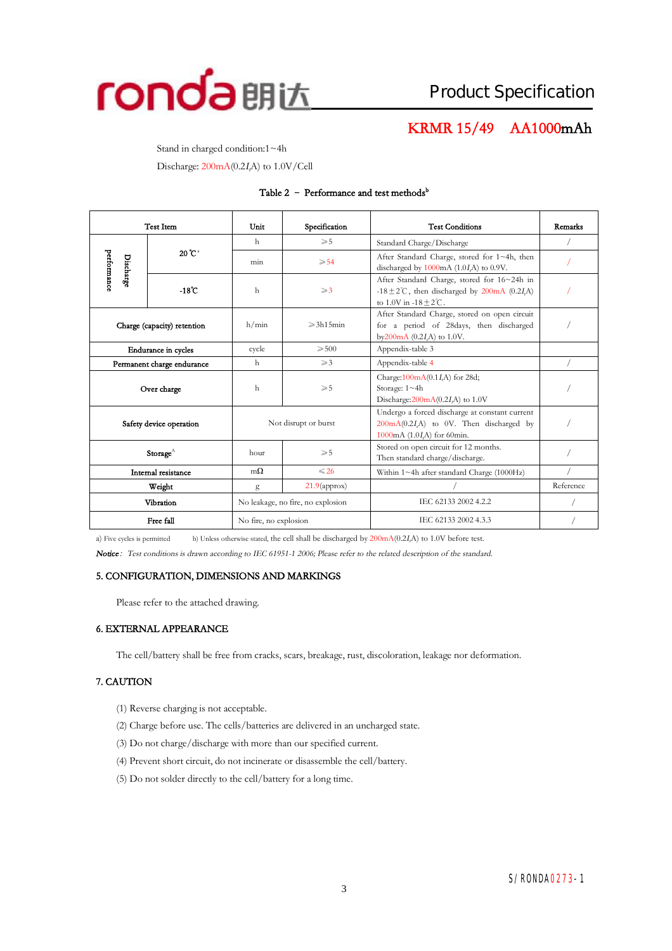

## **KRMR 15/49 AA1000mAh**

Stand in charged condition:1~4h

Discharge: 200mA(0.2*<sup>I</sup>t*A) to 1.0V/Cell

#### **Table 2 – Performance and test methods<sup>b</sup>**

| <b>Test Item</b>                |                             | Specification<br>Unit             |                     | <b>Test Conditions</b>                                                                                                                              | Remarks   |
|---------------------------------|-----------------------------|-----------------------------------|---------------------|-----------------------------------------------------------------------------------------------------------------------------------------------------|-----------|
|                                 |                             | h                                 | $\geqslant 5$       | Standard Charge/Discharge                                                                                                                           |           |
| performance<br><b>Discharge</b> | $20^{\circ}C^{a}$           | min                               | $\geqslant 54$      | After Standard Charge, stored for 1~4h, then<br>discharged by $1000 \text{mA}$ (1.0 <i>I</i> ,A) to 0.9V.                                           |           |
|                                 | $-18^\circ$ C               | h<br>$\geqslant$ 3                |                     | After Standard Charge, stored for 16~24h in<br>-18 $\pm$ 2°C, then discharged by 200mA (0.2I,A)<br>to $1.0V$ in $-18 + 2^{\circ}C$ .                |           |
|                                 | Charge (capacity) retention | h/min                             | $\geqslant$ 3h15min | After Standard Charge, stored on open circuit<br>for a period of 28days, then discharged<br>by $200 \text{mA}$ (0.2 <i>I<sub>A</sub></i> ) to 1.0V. |           |
|                                 | <b>Endurance</b> in cycles  | cycle                             | $\geqslant 500$     | Appendix-table 3                                                                                                                                    |           |
|                                 | Permanent charge endurance  | h                                 | $\geqslant$ 3       | Appendix-table 4                                                                                                                                    |           |
| Over charge                     |                             | h<br>$\geqslant 5$                |                     | Charge: 100mA(0.1I,A) for 28d;<br>Storage: 1~4h<br>Discharge: $200 \text{mA}(0.2I,A)$ to 1.0V                                                       |           |
| Safety device operation         |                             | Not disrupt or burst              |                     | Undergo a forced discharge at constant current<br>$200 \text{mA}(0.2I,\text{A})$ to 0V. Then discharged by<br>1000mA $(1.0I,A)$ for 60min.          |           |
|                                 | Storage $^\wedge$           | hour                              | $\geqslant$ 5       | Stored on open circuit for 12 months.<br>Then standard charge/discharge.                                                                            |           |
| Internal resistance             |                             | $m\Omega$                         | $\leq 26$           | Within $1 \sim 4$ h after standard Charge (1000Hz)                                                                                                  |           |
| Weight                          |                             | g                                 | $21.9$ (approx)     |                                                                                                                                                     | Reference |
|                                 | Vibration                   | No leakage, no fire, no explosion |                     | IEC 62133 2002 4.2.2                                                                                                                                |           |
| Free fall                       |                             | No fire, no explosion             |                     | IEC 62133 2002 4.3.3                                                                                                                                |           |

a) Five cycles is permitted b) Unless otherwise stated, the cell shall be discharged by 200mA(0.2*<sup>I</sup>t*A) to 1.0V before test.

*Notice:Test conditions is drawn according to IEC 61951-1 2006; Please refer to the related description of the standard.* 

#### **5. CONFIGURATION, DIMENSIONS AND MARKINGS**

Please refer to the attached drawing.

#### **6. EXTERNAL APPEARANCE**

The cell/battery shall be free from cracks, scars, breakage, rust, discoloration, leakage nor deformation.

#### **7. CAUTION**

- (1) Reverse charging is not acceptable.
- (2) Charge before use. The cells/batteries are delivered in an uncharged state.
- (3) Do not charge/discharge with more than our specified current.
- (4) Prevent short circuit, do not incinerate or disassemble the cell/battery.
- (5) Do not solder directly to the cell/battery for a long time.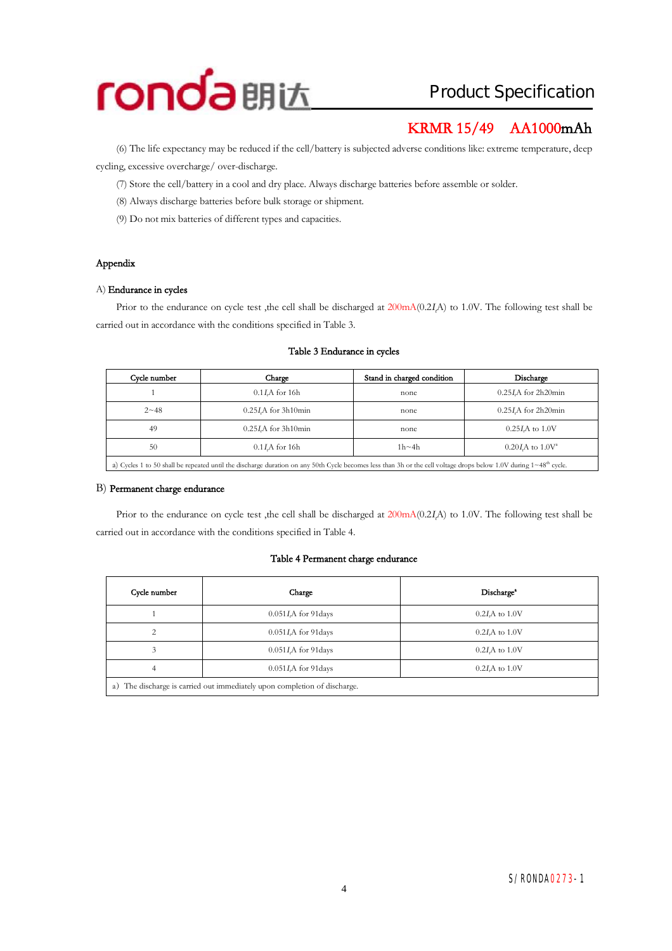

## **KRMR 15/49 AA1000mAh**

(6) The life expectancy may be reduced if the cell/battery is subjected adverse conditionslike: extreme temperature, deep cycling, excessive overcharge/ over-discharge.

(7) Store the cell/battery in a cool and dry place. Always discharge batteries before assemble or solder.

- (8) Always discharge batteries before bulk storage or shipment.
- (9) Do not mix batteries of different types and capacities.

#### **Appendix**

#### A) **Endurance in cycles**

Prior to the endurance on cycle test ,the cell shall be discharged at 200mA(0.2*<sup>I</sup>t*A) to 1.0V. The following test shall be carried out in accordance with the conditions specified in Table 3.

### **Cycle number Charge Stand in charged condition Discharge**  1 0.1*I*<sub>*A*</sub> for 16h none 0.25*I*<sub>*A*</sub> for 2h20min 2~48 0.25*<sup>I</sup>t*A for 3h10min none 0.25*<sup>I</sup>t*A for 2h20min 49 0.25*I*A for 3h10min none 0.25*I*A to 1.0V 50 0.1*<sup>I</sup>t*A for 16h 1h~4h 0.20*<sup>I</sup>t*A to 1.0V<sup>a</sup> a) Cycles 1 to 50 shall be repeated until the discharge duration on any 50th Cycle becomes less than 3h or the cell voltage drops below 1.0V during  $1~48<sup>th</sup>$  cycle.

#### **Table 3 Endurance in cycles**

#### B) **Permanent charge endurance**

Prior to the endurance on cycle test ,the cell shall be discharged at 200mA(0.2*<sup>I</sup>t*A) to 1.0V. The following test shall be carried out in accordance with the conditions specified in Table 4.

#### **Table 4 Permanent charge endurance**

| Cycle number                                                                 | Charge                   | Discharge <sup>*</sup> |  |  |  |
|------------------------------------------------------------------------------|--------------------------|------------------------|--|--|--|
|                                                                              | $0.051I$ , A for 91 days | $0.2I$ A to $1.0V$     |  |  |  |
|                                                                              | $0.051I$ , A for 91 days | $0.2I$ A to $1.0V$     |  |  |  |
|                                                                              | $0.051I$ , A for 91 days | $0.2I$ , A to $1.0V$   |  |  |  |
| $0.051I$ , A for 91 days<br>$0.2I$ , A to $1.0V$<br>4                        |                          |                        |  |  |  |
| The discharge is carried out immediately upon completion of discharge.<br>a) |                          |                        |  |  |  |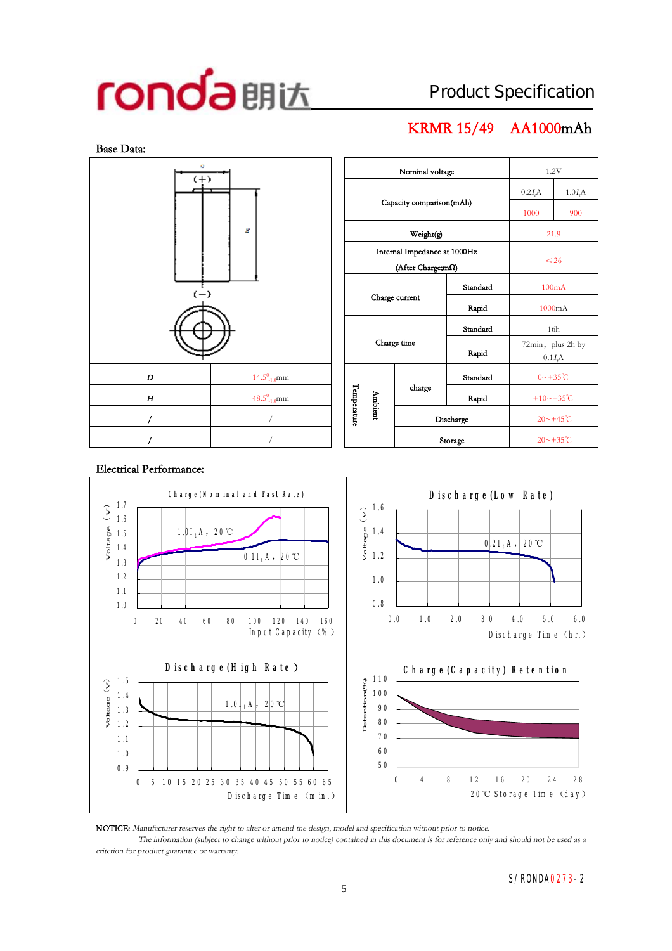## **KRMR 15/49 AA1000mAh**



| x3<br>Nominal voltage<br>1.2V<br>$(+)$<br>1.0I <sub>r</sub> A<br>0.2I <sub>r</sub> A<br>Capacity comparison(mAh)<br>1000<br>900 |           |  |
|---------------------------------------------------------------------------------------------------------------------------------|-----------|--|
|                                                                                                                                 |           |  |
|                                                                                                                                 |           |  |
|                                                                                                                                 |           |  |
| Н<br>Weight(g)<br>21.9                                                                                                          |           |  |
| Internal Impedance at 1000Hz                                                                                                    | $\leq 26$ |  |
| (After Charge;mΩ)                                                                                                               |           |  |
| Standard<br>100mA<br>$(-)$                                                                                                      |           |  |
| Charge current<br>Rapid<br>1000mA                                                                                               |           |  |
| Standard<br>16h                                                                                                                 |           |  |
| Charge time<br>72min, plus 2h by<br>Rapid<br>0.1I <sub>r</sub> A                                                                |           |  |
| $14.5^{\scriptstyle 0}_{\scriptscriptstyle -1.0} \text{mm}$<br>Standard<br>$0 \sim +35^{\circ}C$<br>D                           |           |  |
| Temperature<br>charge<br>Ambient<br>$48.5^0$ <sub>-1.0</sub> mm<br>+10~+35 $°C$<br>H<br>Rapid                                   |           |  |
| $-20 \sim +45^{\circ}$ C<br>T<br>Discharge                                                                                      |           |  |
| ľ<br>$-20$ ~+35°C<br>Storage                                                                                                    |           |  |

#### **C h a rg e (N o m in a l a n d Fa st R a te ) D isch a rg e (Lo w R a te )** 1.7  $\begin{array}{c} 1.6 \\geq 1.4 \\geq 1.2 \end{array}$ V o ltag e(V ) 1.6 1.5 1.4 1.0*I<sup>t</sup>* A ,20℃  $0.2I<sub>t</sub>A$ , **20℃** 1.4 0.1*I<sup>t</sup>* A ,20℃ 1.2 1.3 1.2 1.0 1.1 0.8 1.0 0.0 1.0 2.0 3.0 4.0 5.0 6.0 0 20 40 60 80 100 120 140 160 In put C apacity  $(\% )$ D ischarge Time (hr.)  **D isch a rg e (H ig h R a te) C h a rg e (C a p a c ity) R e te n tio n** 110 Retention(% ) 1.5 Retention (%) Voltage(V) 100 1.4 1.0*I<sup>t</sup>* A ,20℃ 90 1.3 80 1.2 70 1.1 60 1.0 50 0.9 0 4 8 12 16 20 24 28 0 5 10 15 20 25 30 35 40 45 50 55 60 6 5 D ischarge Time (m in .) 20 $\mathbb{C}$  Storage Time (day)

#### **Electrical Performance:**

**NOTICE:** *Manufacturer reserves the right to alter or amend the design, model and specification without prior to notice.*

The information (subject to change without prior to notice) contained in this document is for reference only and should not be used as a *criterion for product guarantee or warranty.*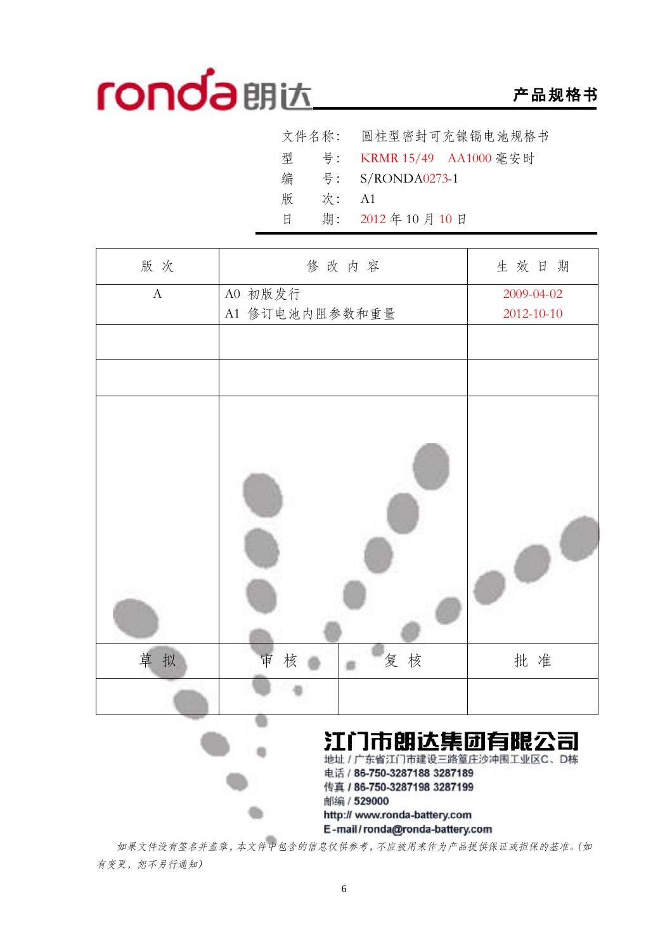## **产品规格书**

| 文件名称: 圆柱型密封可充镍镉电池规格书       |
|----------------------------|
| 型 号: KRMR 15/49 AA1000 毫安时 |
| 号: S/RONDA0273-1           |
| 次:<br>- A1                 |
| 期: 2012年10月10日             |
|                            |

| 版次           |                | 修改内容                                                                                                                                                                                       | 生效日期       |
|--------------|----------------|--------------------------------------------------------------------------------------------------------------------------------------------------------------------------------------------|------------|
| $\mathbf{A}$ | A0 初版发行        |                                                                                                                                                                                            | 2009-04-02 |
|              | A1 修订电池内阻参数和重量 |                                                                                                                                                                                            | 2012-10-10 |
|              |                |                                                                                                                                                                                            |            |
|              |                |                                                                                                                                                                                            |            |
|              |                |                                                                                                                                                                                            |            |
| 草<br>拟       | 核<br>审         | 复核                                                                                                                                                                                         | 批准         |
|              |                |                                                                                                                                                                                            |            |
|              |                | 江门市朗达集团有限公司<br>地址 / 广东省江门市建设三路篁庄沙冲围工业区C、D栋<br>电话 / 86-750-3287188 3287189<br>传真 / 86-750-3287198 3287199<br>邮编 / 529000<br>http:// www.ronda-battery.com<br>E-mail/ronda@ronda-battery.com |            |

*如果文件没有签名并盖章,本文件中包含的信息仅供参考,不应被用来作为产品提供保证或担保的基准。(如 有变更,恕不另行通知)*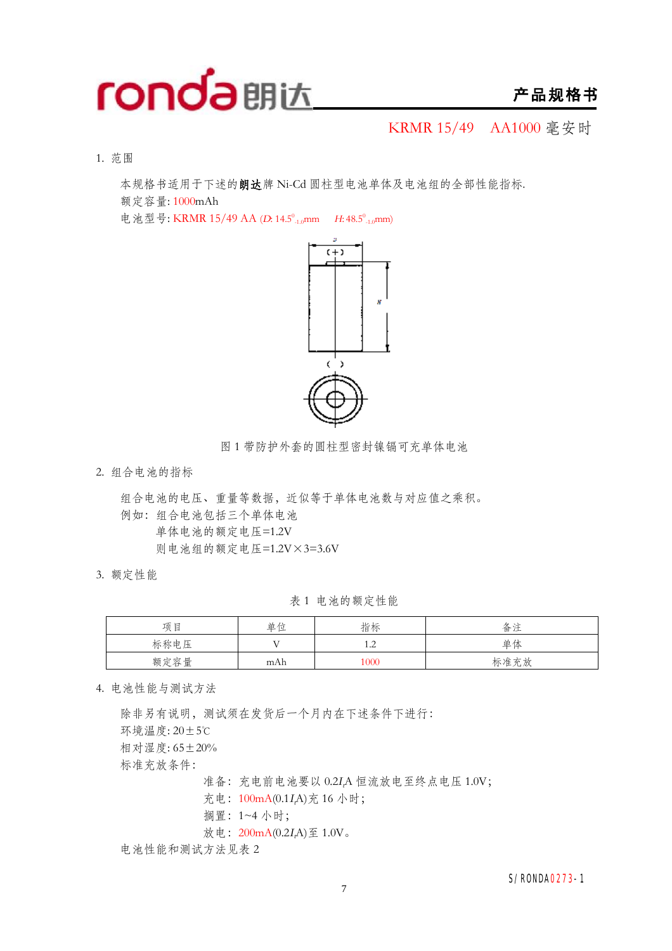

KRMR 15/49 AA1000 毫安时

1. 范围

本规格书适用于下述的**朗达**牌 Ni-Cd 圆柱型电池单体及电池组的全部性能指标. 额定容量: 1000mAh

电池型号: KRMR 15/49 AA (D: 14.5<sup>0</sup><sub>-1.0</sub>mm *H*: 48.5<sup>0</sup><sub>-1.0</sub>mm)



图 1 带防护外套的圆柱型密封镍镉可充单体电池

2. 组合电池的指标

组合电池的电压、重量等数据,近似等于单体电池数与对应值之乘积。 例如:组合电池包括三个单体电池 单体电池的额定电压=1.2V 则电池组的额定电压=1.2V×3=3.6V

3. 额定性能

表 1 电池的额定性能

| 项目   | 单位  | 指标           | 备注   |
|------|-----|--------------|------|
| 标称电压 | T 7 | . . <u>.</u> | 单体   |
| 额定容量 | mAh | 1000         | 标准充放 |

4. 电池性能与测试方法

除非另有说明,测试须在发货后一个月内在下述条件下进行: 环境温度: 20±5℃ 相对湿度: 65±20% 标准充放条件: 准备:充电前电池要以 0.2*<sup>I</sup>t*A 恒流放电至终点电压 1.0V; 充电:100mA(0.1*<sup>I</sup>t*A)充 16 小时; 搁置:1~4 小时;

放电:200mA(0.2*<sup>I</sup>t*A)至 1.0V。

电池性能和测试方法见表 2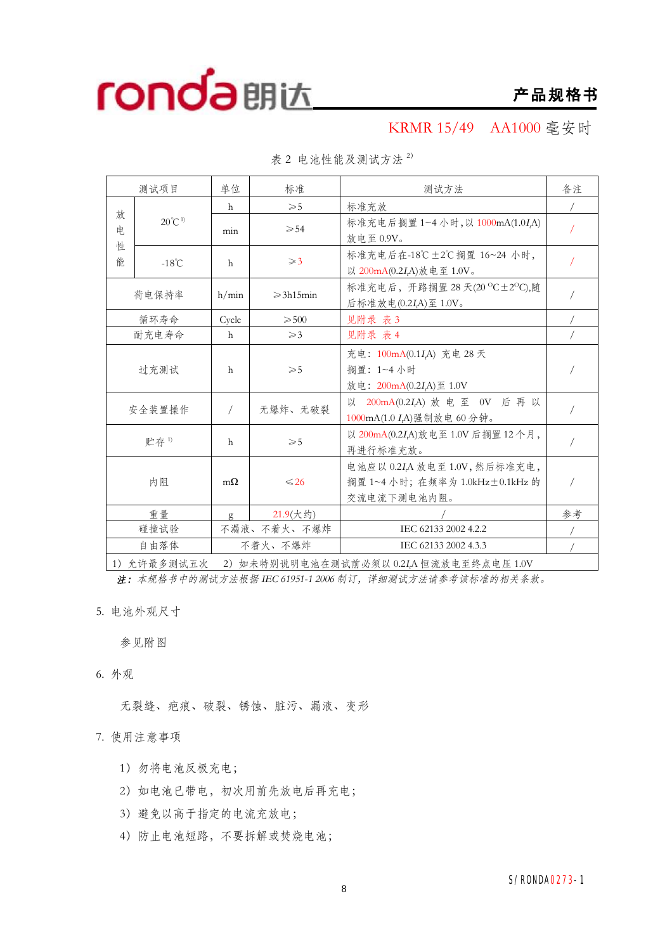KRMR 15/49 AA1000 毫安时

|              | 测试项目              | 单位           | 标准                  | 测试方法                                                                           | 备注 |
|--------------|-------------------|--------------|---------------------|--------------------------------------------------------------------------------|----|
|              |                   | h            | $\geqslant 5$       | 标准充放                                                                           |    |
| 放<br>申.<br>性 | $20^{\circ}C^{1}$ | min          | $\geqslant 54$      | 标准充电后搁置 1~4 小时, 以 1000mA(1.0I,A)<br>放电至 0.9V。                                  |    |
| 能            | $-18^{\circ}$ C   | $\mathsf{h}$ | $\geqslant$ 3       | 标准充电后在-18℃±2℃搁置 16~24 小时,<br>以 200mA(0.2I,A)放电至 1.0V。                          |    |
|              | 荷电保持率             | h/min        | $\geqslant$ 3h15min | 标准充电后, 开路搁置 28 天(20 °C±2°C),随<br>后标准放电(0.2IA)至 1.0V。                           |    |
|              | 循环寿命              | Cycle        | $\geqslant 500$     | 见附录 表3                                                                         |    |
|              | 耐充电寿命             | h            | $\geqslant$ 3       | 见附录 表 4                                                                        |    |
|              | 过充测试              | $\mathsf{h}$ | $\geqslant 5$       | 充电: 100mA(0.1IA) 充电 28 天<br>搁置: 1~4 小时<br>放电: 200mA(0.2IA)至 1.0V               |    |
|              | 安全装置操作            |              | 无爆炸、无破裂             | 以 200mA(0.2IA) 放电至 0V 后再以<br>1000mA(1.0 I,A)强制放电 60分钟。                         |    |
|              | 贮存1)              | h            | $\geqslant$ 5       | 以 200mA(0.2IA)放电至 1.0V 后搁置 12个月,<br>再进行标准充放。                                   |    |
|              | 内阻                | $m\Omega$    | $\leq 26$           | 电池应以 0.2IA 放电至 1.0V, 然后标准充电,<br>搁置 1~4 小时; 在频率为 1.0kHz±0.1kHz 的<br>交流电流下测电池内阻。 |    |
|              | 重量                | g            | $21.9($ 大约)         |                                                                                | 参考 |
|              | 碰撞试验              |              | 不漏液、不着火、不爆炸         | IEC 62133 2002 4.2.2                                                           |    |
|              | 自由落体              |              | 不着火、不爆炸             | IEC 62133 2002 4.3.3                                                           |    |

表 2 电池性能及测试方法 <sup>2</sup>)

1)允许最多测试五次 2)如未特别说明电池在测试前必须以 0.2*<sup>I</sup>t*A 恒流放电至终点电压 1.0V

*注:本规格书中的测试方法根据 IEC 61951-1 <sup>2006</sup> 制订,详细测试方法请参考该标准的相关条款。*

5. 电池外观尺寸

参见附图

6. 外观

无裂缝、疤痕、破裂、锈蚀、脏污、漏液、变形

7. 使用注意事项

- 1)勿将电池反极充电;
- 2) 如电池已带电, 初次用前先放电后再充电;
- 3)避免以高于指定的电流充放电;
- 4)防止电池短路,不要拆解或焚烧电池;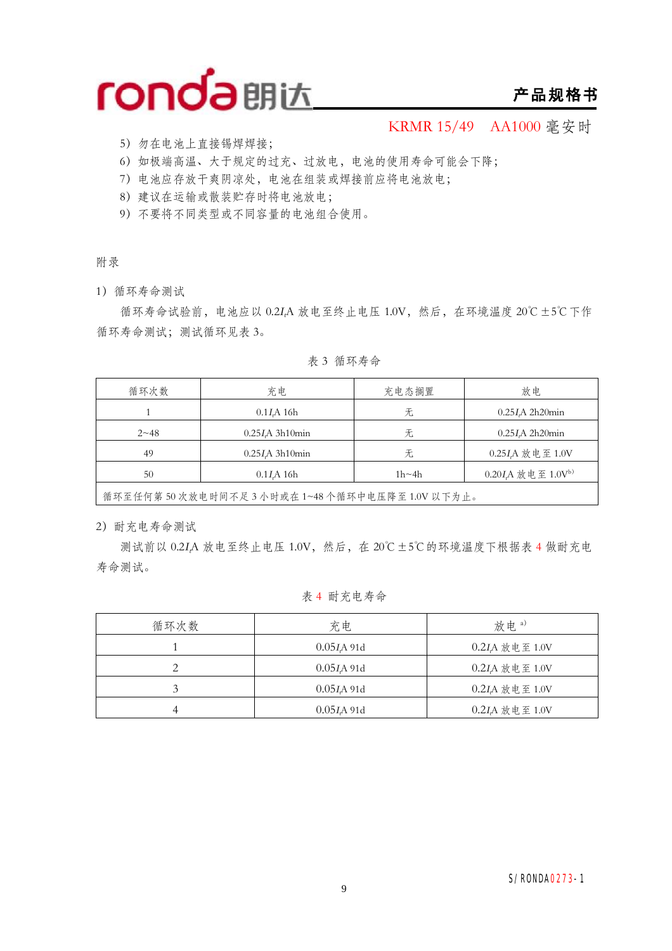

### **产品规格书**

KRMR 15/49 AA1000 毫安时

- 5)勿在电池上直接锡焊焊接;
- 6)如极端高温、大于规定的过充、过放电,电池的使用寿命可能会下降;
- 7)电池应存放干爽阴凉处,电池在组装或焊接前应将电池放电;
- 8)建议在运输或散装贮存时将电池放电;
- 9)不要将不同类型或不同容量的电池组合使用。

附录

1)循环寿命测试

循环寿命试验前,电池应以 0.2*<sup>I</sup>t*A 放电至终止电压 1.0V,然后,在环境温度 20℃±5℃下作 循环寿命测试;测试循环见表 3。

循环次数 | 充电 充电 | 充电态搁置 | 放电 1 0.25*I*<sub>A</sub> 2h20min 0.1*I*<sub>A</sub> 16h 无 无 0.25*I*<sub>A</sub> 2h20min 2~48 0.25*<sup>I</sup>t*A 3h10min 无 0.25*<sup>I</sup>t*A 2h20min 49 0.25*<sup>I</sup>t*A 3h10min 无 0.25*<sup>I</sup>t*A 放电至 1.0V 50 0.1*IA* 16h 1h∼4h 0.20*IA* 放电至 1.0V<sup>b)</sup>

表 3 循环寿命

循环至任何第 50 次放电时间不足 3 小时或在 1~48 个循环中电压降至 1.0V 以下为止。

2)耐充电寿命测试

测试前以 0.2*<sup>I</sup>t*A 放电至终止电压 1.0V,然后,在 20℃±5℃的环境温度下根据表 4 做耐充电 寿命测试。

#### 表 4 耐充电寿命

| 循环次数 | 充电            | 放电。)           |
|------|---------------|----------------|
|      | 0.05 I A 91d  | 0.2IA 放电至 1.0V |
|      | $0.05I$ A 91d | 0.2IA 放电至 1.0V |
|      | 0.05 I A 91d  | 0.2IA 放电至 1.0V |
|      | 0.05 I A 91d  | 0.2IA 放电至 1.0V |